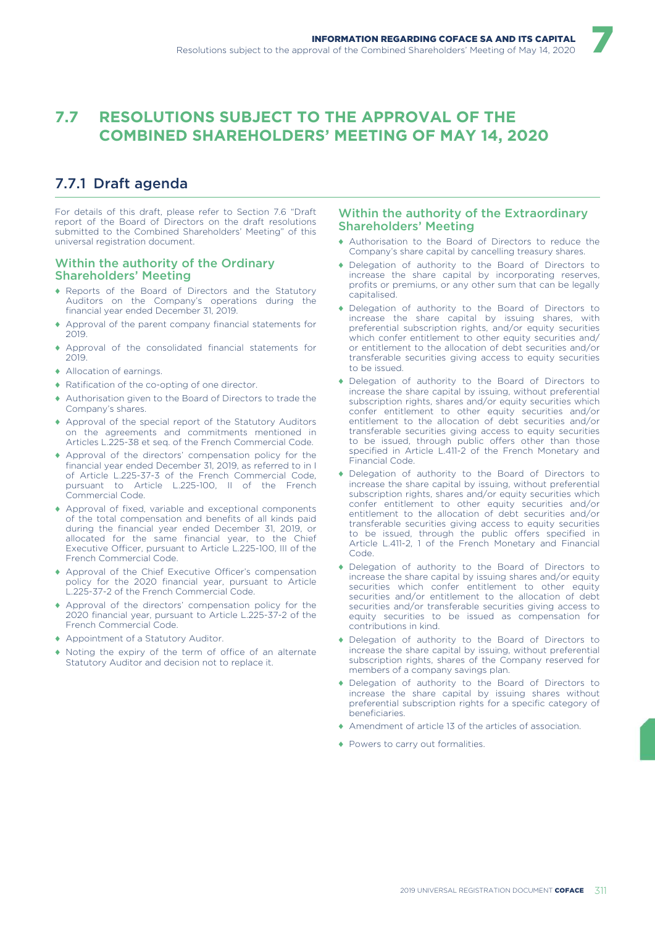# **7.7 RESOLUTIONS SUBJECT TO THE APPROVAL OF THE COMBINED SHAREHOLDERS' MEETING OF MAY 14, 2020**

# 7.7.1 Draft agenda

For details of this draft, please refer to Section 7.6 "Draft report of the Board of Directors on the draft resolutions submitted to the Combined Shareholders' Meeting" of this universal registration document.

# Within the authority of the Ordinary Shareholders' Meeting

- ♦ Reports of the Board of Directors and the Statutory Auditors on the Company's operations during the financial year ended December 31, 2019.
- ♦ Approval of the parent company financial statements for 2019.
- Approval of the consolidated financial statements for 2019.
- ♦ Allocation of earnings.
- ♦ Ratification of the co-opting of one director.
- ♦ Authorisation given to the Board of Directors to trade the Company's shares.
- ♦ Approval of the special report of the Statutory Auditors on the agreements and commitments mentioned in Articles L.225-38 et seq. of the French Commercial Code.
- ♦ Approval of the directors' compensation policy for the financial year ended December 31, 2019, as referred to in I of Article L.225-37-3 of the French Commercial Code, pursuant to Article L.225-100, II of the French Commercial Code.
- ♦ Approval of fixed, variable and exceptional components of the total compensation and benefits of all kinds paid during the financial year ended December 31, 2019, or allocated for the same financial year, to the Chief Executive Officer, pursuant to Article L.225-100, III of the French Commercial Code.
- ♦ Approval of the Chief Executive Officer's compensation policy for the 2020 financial year, pursuant to Article L.225-37-2 of the French Commercial Code.
- ♦ Approval of the directors' compensation policy for the 2020 financial year, pursuant to Article L.225-37-2 of the French Commercial Code.
- ♦ Appointment of a Statutory Auditor.
- Noting the expiry of the term of office of an alternate Statutory Auditor and decision not to replace it.

# Within the authority of the Extraordinary Shareholders' Meeting

♦ Authorisation to the Board of Directors to reduce the Company's share capital by cancelling treasury shares.

- ♦ Delegation of authority to the Board of Directors to increase the share capital by incorporating reserves, profits or premiums, or any other sum that can be legally capitalised.
- ♦ Delegation of authority to the Board of Directors to increase the share capital by issuing shares, with preferential subscription rights, and/or equity securities which confer entitlement to other equity securities and/ or entitlement to the allocation of debt securities and/or transferable securities giving access to equity securities to be issued.
- ♦ Delegation of authority to the Board of Directors to increase the share capital by issuing, without preferential subscription rights, shares and/or equity securities which confer entitlement to other equity securities and/or entitlement to the allocation of debt securities and/or transferable securities giving access to equity securities to be issued, through public offers other than those specified in Article L.411-2 of the French Monetary and Financial Code.
- ♦ Delegation of authority to the Board of Directors to increase the share capital by issuing, without preferential subscription rights, shares and/or equity securities which confer entitlement to other equity securities and/or entitlement to the allocation of debt securities and/or transferable securities giving access to equity securities to be issued, through the public offers specified in Article L.411-2, 1 of the French Monetary and Financial Code.
- ♦ Delegation of authority to the Board of Directors to increase the share capital by issuing shares and/or equity securities which confer entitlement to other equity securities and/or entitlement to the allocation of debt securities and/or transferable securities giving access to equity securities to be issued as compensation for contributions in kind.
- ♦ Delegation of authority to the Board of Directors to increase the share capital by issuing, without preferential subscription rights, shares of the Company reserved for members of a company savings plan.
- ♦ Delegation of authority to the Board of Directors to increase the share capital by issuing shares without preferential subscription rights for a specific category of beneficiaries.
- ♦ Amendment of article 13 of the articles of association.
- ♦ Powers to carry out formalities.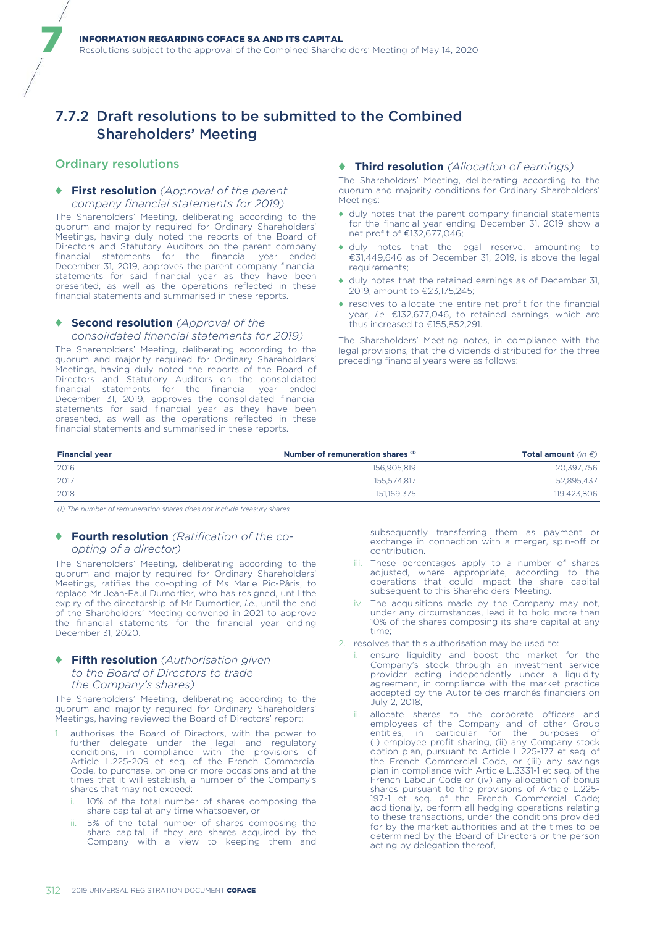# 7.7.2 Draft resolutions to be submitted to the Combined Shareholders' Meeting

# Ordinary resolutions

7

### ♦ **First resolution** *(Approval of the parent company financial statements for 2019)*

The Shareholders' Meeting, deliberating according to the quorum and majority required for Ordinary Shareholders' Meetings, having duly noted the reports of the Board of Directors and Statutory Auditors on the parent company financial statements for the financial year ended December 31, 2019, approves the parent company financial statements for said financial year as they have been presented, as well as the operations reflected in these financial statements and summarised in these reports.

#### ♦ **Second resolution** *(Approval of the consolidated financial statements for 2019)*

The Shareholders' Meeting, deliberating according to the quorum and majority required for Ordinary Shareholders' Meetings, having duly noted the reports of the Board of Directors and Statutory Auditors on the consolidated financial statements for the financial year ended December 31, 2019, approves the consolidated financial statements for said financial year as they have been presented, as well as the operations reflected in these financial statements and summarised in these reports.

#### ♦ **Third resolution** *(Allocation of earnings)*

The Shareholders' Meeting, deliberating according to the quorum and majority conditions for Ordinary Shareholders' **Meetings** 

- ♦ duly notes that the parent company financial statements for the financial year ending December 31, 2019 show a net profit of €132,677,046;
- ♦ duly notes that the legal reserve, amounting to €31,449,646 as of December 31, 2019, is above the legal requirements;
- ♦ duly notes that the retained earnings as of December 31, 2019, amount to €23,175,245;
- ♦ resolves to allocate the entire net profit for the financial year, *i.e.* €132,677,046, to retained earnings, which are thus increased to €155,852,291.

The Shareholders' Meeting notes, in compliance with the legal provisions, that the dividends distributed for the three preceding financial years were as follows:

| <b>Financial year</b> | Number of remuneration shares (1) | <b>Total amount</b> (in $\epsilon$ ) |
|-----------------------|-----------------------------------|--------------------------------------|
| 2016                  | 156.905.819                       | 20.397.756                           |
| 2017                  | 155.574.817                       | 52,895,437                           |
| 2018                  | 151.169.375                       | 119,423,806                          |

*(1) The number of remuneration shares does not include treasury shares.*

#### ♦ **Fourth resolution** *(Ratification of the coopting of a director)*

The Shareholders' Meeting, deliberating according to the quorum and majority required for Ordinary Shareholders' Meetings, ratifies the co-opting of Ms Marie Pic-Pâris, to replace Mr Jean-Paul Dumortier, who has resigned, until the expiry of the directorship of Mr Dumortier, *i.e.*, until the end of the Shareholders' Meeting convened in 2021 to approve the financial statements for the financial year ending December 31, 2020.

# ♦ **Fifth resolution** *(Authorisation given to the Board of Directors to trade the Company's shares)*

The Shareholders' Meeting, deliberating according to the quorum and majority required for Ordinary Shareholders' Meetings, having reviewed the Board of Directors' report:

- authorises the Board of Directors, with the power to further delegate under the legal and regulatory conditions, in compliance with the provisions of Article L.225-209 et seq. of the French Commercial Code, to purchase, on one or more occasions and at the times that it will establish, a number of the Company's shares that may not exceed:
	- 10% of the total number of shares composing the share capital at any time whatsoever, or
	- 5% of the total number of shares composing the share capital, if they are shares acquired by the Company with a view to keeping them and

subsequently transferring them as payment or exchange in connection with a merger, spin-off or contribution.

- iii. These percentages apply to a number of shares adjusted, where appropriate, according to the operations that could impact the share capital subsequent to this Shareholders' Meeting.
- iv. The acquisitions made by the Company may not, under any circumstances, lead it to hold more than 10% of the shares composing its share capital at any time;
- 2. resolves that this authorisation may be used to:
	- i. ensure liquidity and boost the market for the Company's stock through an investment service provider acting independently under a liquidity agreement, in compliance with the market practice accepted by the Autorité des marchés financiers on July 2, 2018,
	- ii. allocate shares to the corporate officers and employees of the Company and of other Group entities, in particular for the purposes of (i) employee profit sharing, (ii) any Company stock option plan, pursuant to Article L.225-177 et seq. of the French Commercial Code, or (iii) any savings plan in compliance with Article L.3331-1 et seq. of the French Labour Code or (iv) any allocation of bonus shares pursuant to the provisions of Article L.225- 197-1 et seq. of the French Commercial Code; additionally, perform all hedging operations relating to these transactions, under the conditions provided for by the market authorities and at the times to be determined by the Board of Directors or the person acting by delegation thereof,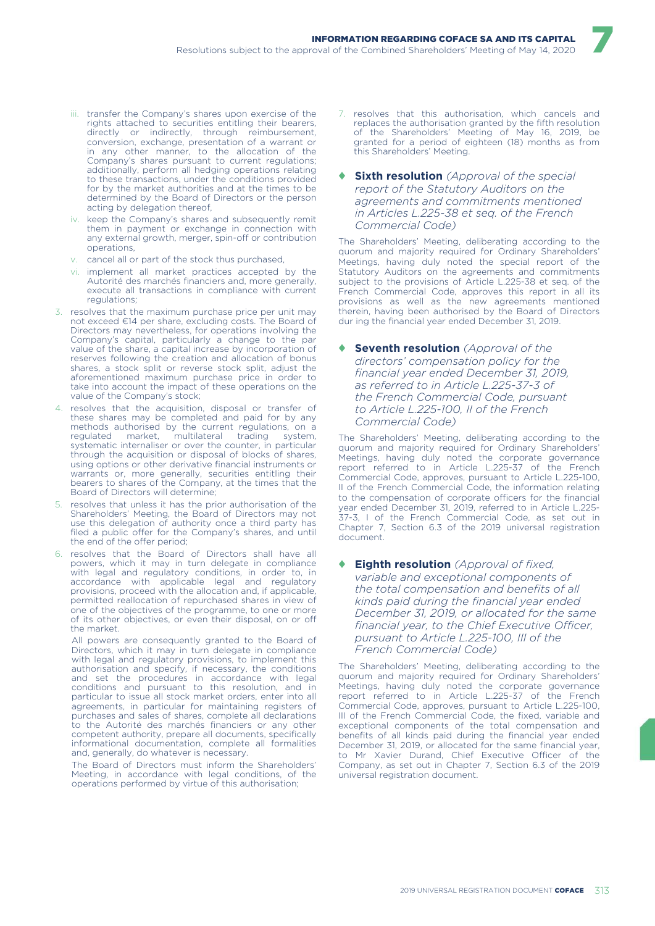- iii. transfer the Company's shares upon exercise of the rights attached to securities entitling their bearers, directly or indirectly, through reimbursement, conversion, exchange, presentation of a warrant or in any other manner, to the allocation of the Company's shares pursuant to current regulations; additionally, perform all hedging operations relating to these transactions, under the conditions provided for by the market authorities and at the times to be determined by the Board of Directors or the person acting by delegation thereof,
- iv. keep the Company's shares and subsequently remit them in payment or exchange in connection with any external growth, merger, spin-off or contribution operations,
- v. cancel all or part of the stock thus purchased,
- vi. implement all market practices accepted by the Autorité des marchés financiers and, more generally, execute all transactions in compliance with current regulations;
- 3. resolves that the maximum purchase price per unit may not exceed €14 per share, excluding costs. The Board of Directors may nevertheless, for operations involving the Company's capital, particularly a change to the par value of the share, a capital increase by incorporation of reserves following the creation and allocation of bonus shares, a stock split or reverse stock split, adjust the aforementioned maximum purchase price in order to take into account the impact of these operations on the value of the Company's stock;
- 4. resolves that the acquisition, disposal or transfer of these shares may be completed and paid for by any methods authorised by the current regulations, on a regulated market, multilateral trading system, systematic internaliser or over the counter, in particular through the acquisition or disposal of blocks of shares, using options or other derivative financial instruments or warrants or, more generally, securities entitling their bearers to shares of the Company, at the times that the Board of Directors will determine;
- 5. resolves that unless it has the prior authorisation of the Shareholders' Meeting, the Board of Directors may not use this delegation of authority once a third party has filed a public offer for the Company's shares, and until the end of the offer period;
- 6. resolves that the Board of Directors shall have all powers, which it may in turn delegate in compliance with legal and regulatory conditions, in order to, in accordance with applicable legal and regulatory provisions, proceed with the allocation and, if applicable, permitted reallocation of repurchased shares in view of one of the objectives of the programme, to one or more of its other objectives, or even their disposal, on or off the market.

All powers are consequently granted to the Board of Directors, which it may in turn delegate in compliance with legal and regulatory provisions, to implement this authorisation and specify, if necessary, the conditions and set the procedures in accordance with legal conditions and pursuant to this resolution, and in particular to issue all stock market orders, enter into all agreements, in particular for maintaining registers of purchases and sales of shares, complete all declarations to the Autorité des marchés financiers or any other competent authority, prepare all documents, specifically informational documentation, complete all formalities and, generally, do whatever is necessary.

The Board of Directors must inform the Shareholders' Meeting, in accordance with legal conditions, of the operations performed by virtue of this authorisation;

7. resolves that this authorisation, which cancels and replaces the authorisation granted by the fifth resolution of the Shareholders' Meeting of May 16, 2019, be granted for a period of eighteen (18) months as from this Shareholders' Meeting.

7

♦ **Sixth resolution** *(Approval of the special report of the Statutory Auditors on the agreements and commitments mentioned in Articles L.225-38 et seq. of the French Commercial Code)* 

The Shareholders' Meeting, deliberating according to the quorum and majority required for Ordinary Shareholders' Meetings, having duly noted the special report of the Statutory Auditors on the agreements and commitments subject to the provisions of Article L.225-38 et seq. of the French Commercial Code, approves this report in all its provisions as well as the new agreements mentioned therein, having been authorised by the Board of Directors dur ing the financial year ended December 31, 2019.

#### **Seventh resolution** *(Approval of the directors' compensation policy for the financial year ended December 31, 2019, as referred to in Article L.225-37-3 of the French Commercial Code, pursuant to Article L.225-100, II of the French Commercial Code)*

The Shareholders' Meeting, deliberating according to the quorum and majority required for Ordinary Shareholders' Meetings, having duly noted the corporate governance report referred to in Article L.225-37 of the French Commercial Code, approves, pursuant to Article L.225-100, II of the French Commercial Code, the information relating to the compensation of corporate officers for the financial year ended December 31, 2019, referred to in Article L.225- 37-3, I of the French Commercial Code, as set out in Chapter 7, Section 6.3 of the 2019 universal registration document.

#### **Eighth resolution** *(Approval of fixed, variable and exceptional components of the total compensation and benefits of all kinds paid during the financial year ended December 31, 2019, or allocated for the same financial year, to the Chief Executive Officer, pursuant to Article L.225-100, III of the French Commercial Code)*

The Shareholders' Meeting, deliberating according to the quorum and majority required for Ordinary Shareholders' Meetings, having duly noted the corporate governance report referred to in Article L.225-37 of the French Commercial Code, approves, pursuant to Article L.225-100, III of the French Commercial Code, the fixed, variable and exceptional components of the total compensation and benefits of all kinds paid during the financial year ended December 31, 2019, or allocated for the same financial year, to Mr Xavier Durand, Chief Executive Officer of the Company, as set out in Chapter 7, Section 6.3 of the 2019 universal registration document.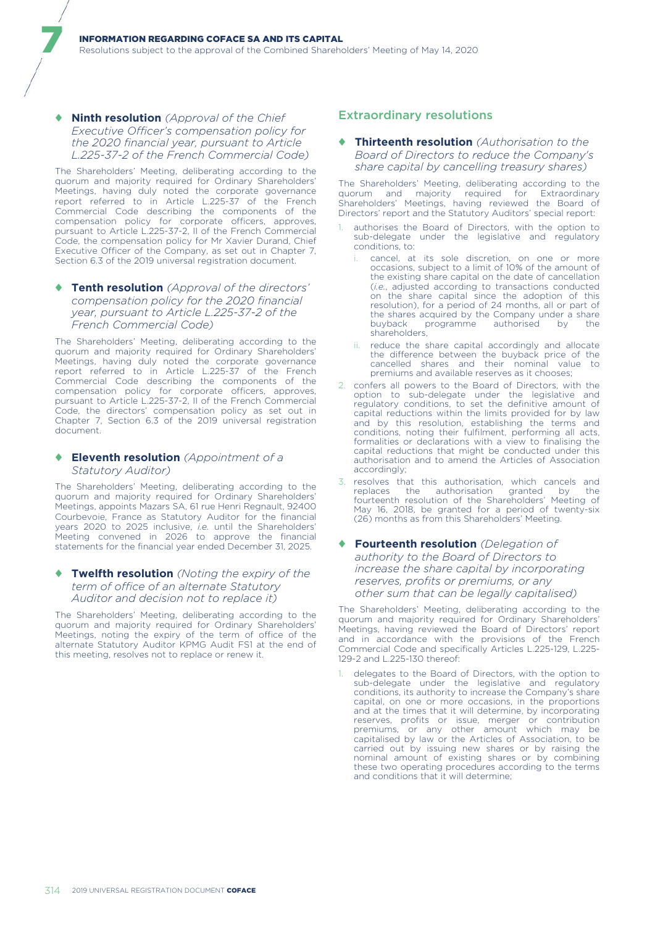### ♦ **Ninth resolution** *(Approval of the Chief Executive Officer's compensation policy for the 2020 financial year, pursuant to Article L.225-37-2 of the French Commercial Code)*

7

The Shareholders' Meeting, deliberating according to the quorum and majority required for Ordinary Shareholders' Meetings, having duly noted the corporate governance report referred to in Article L.225-37 of the French Commercial Code describing the components of the compensation policy for corporate officers, approves, pursuant to Article L.225-37-2, II of the French Commercial Code, the compensation policy for Mr Xavier Durand, Chief Executive Officer of the Company, as set out in Chapter 7, Section 6.3 of the 2019 universal registration document.

#### ♦ **Tenth resolution** *(Approval of the directors' compensation policy for the 2020 financial year, pursuant to Article L.225-37-2 of the French Commercial Code)*

The Shareholders' Meeting, deliberating according to the quorum and majority required for Ordinary Shareholders' Meetings, having duly noted the corporate governance report referred to in Article L.225-37 of the French Commercial Code describing the components of the compensation policy for corporate officers, approves, pursuant to Article L.225-37-2, II of the French Commercial Code, the directors' compensation policy as set out in Chapter 7, Section 6.3 of the 2019 universal registration document.

## ♦ **Eleventh resolution** *(Appointment of a Statutory Auditor)*

The Shareholders' Meeting, deliberating according to the quorum and majority required for Ordinary Shareholders' Meetings, appoints Mazars SA, 61 rue Henri Regnault, 92400 Courbevoie, France as Statutory Auditor for the financial years 2020 to 2025 inclusive, *i.e.* until the Shareholders' Meeting convened in 2026 to approve the financial statements for the financial year ended December 31, 2025.

#### ♦ **Twelfth resolution** *(Noting the expiry of the term of office of an alternate Statutory Auditor and decision not to replace it)*

The Shareholders' Meeting, deliberating according to the quorum and majority required for Ordinary Shareholders' Meetings, noting the expiry of the term of office of the alternate Statutory Auditor KPMG Audit FS1 at the end of this meeting, resolves not to replace or renew it.

# Extraordinary resolutions

## ♦ **Thirteenth resolution** *(Authorisation to the Board of Directors to reduce the Company's share capital by cancelling treasury shares)*

The Shareholders' Meeting, deliberating according to the quorum and majority required for Extraordinary Shareholders' Meetings, having reviewed the Board of Directors' report and the Statutory Auditors' special report:

- authorises the Board of Directors, with the option to sub-delegate under the legislative and regulatory conditions, to:
	- cancel, at its sole discretion, on one or more occasions, subject to a limit of 10% of the amount of the existing share capital on the date of cancellation (*i.e.*, adjusted according to transactions conducted on the share capital since the adoption of this resolution), for a period of 24 months, all or part of the shares acquired by the Company under a share<br>buyback programme authorised by the programme authorised by the shareholders,
	- reduce the share capital accordingly and allocate the difference between the buyback price of the cancelled shares and their nominal value to premiums and available reserves as it chooses;
- 2. confers all powers to the Board of Directors, with the option to sub-delegate under the legislative and regulatory conditions, to set the definitive amount of capital reductions within the limits provided for by law and by this resolution, establishing the terms and conditions, noting their fulfilment, performing all acts, formalities or declarations with a view to finalising the capital reductions that might be conducted under this authorisation and to amend the Articles of Association accordingly;
- 3. resolves that this authorisation, which cancels and replaces the authorisation granted by the fourteenth resolution of the Shareholders' Meeting of May 16, 2018, be granted for a period of twenty-six (26) months as from this Shareholders' Meeting.

## ♦ **Fourteenth resolution** *(Delegation of authority to the Board of Directors to increase the share capital by incorporating reserves, profits or premiums, or any other sum that can be legally capitalised)*

The Shareholders' Meeting, deliberating according to the quorum and majority required for Ordinary Shareholders' Meetings, having reviewed the Board of Directors' report and in accordance with the provisions of the French Commercial Code and specifically Articles L.225-129, L.225- 129-2 and L.225-130 thereof:

1. delegates to the Board of Directors, with the option to sub-delegate under the legislative and regulatory conditions, its authority to increase the Company's share capital, on one or more occasions, in the proportions and at the times that it will determine, by incorporating reserves, profits or issue, merger or contribution premiums, or any other amount which may be capitalised by law or the Articles of Association, to be carried out by issuing new shares or by raising the nominal amount of existing shares or by combining these two operating procedures according to the terms and conditions that it will determine;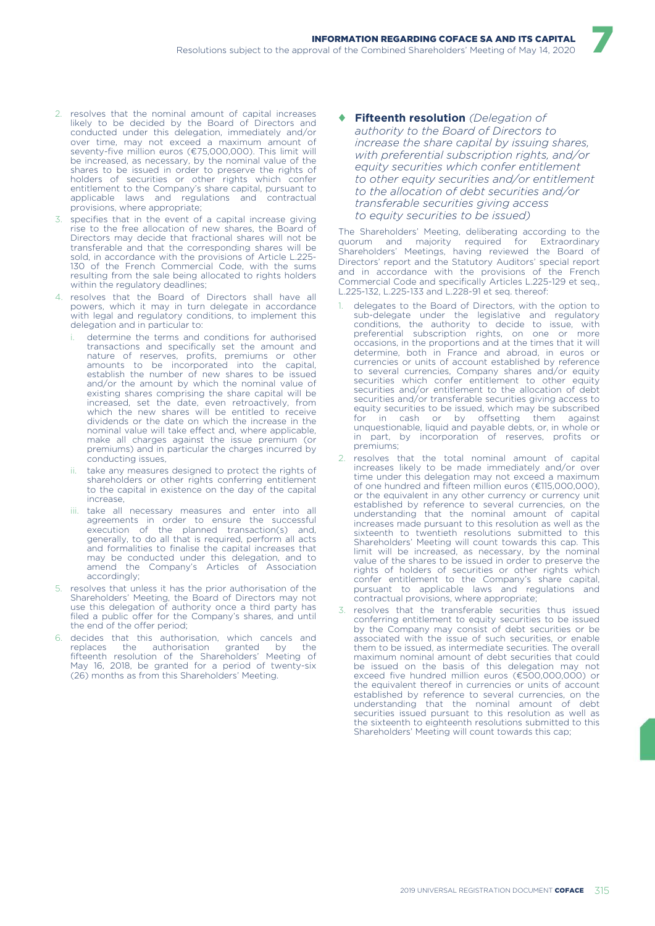- 2. resolves that the nominal amount of capital increases likely to be decided by the Board of Directors and conducted under this delegation, immediately and/or over time, may not exceed a maximum amount of seventy-five million euros (€75,000,000). This limit will be increased, as necessary, by the nominal value of the shares to be issued in order to preserve the rights of holders of securities or other rights which confer entitlement to the Company's share capital, pursuant to applicable laws and regulations and contractual provisions, where appropriate;
- 3. specifies that in the event of a capital increase giving rise to the free allocation of new shares, the Board of Directors may decide that fractional shares will not be transferable and that the corresponding shares will be sold, in accordance with the provisions of Article L.225- 130 of the French Commercial Code, with the sums resulting from the sale being allocated to rights holders within the regulatory deadlines;
- 4. resolves that the Board of Directors shall have all powers, which it may in turn delegate in accordance with legal and regulatory conditions, to implement this delegation and in particular to:
	- determine the terms and conditions for authorised transactions and specifically set the amount and nature of reserves, profits, premiums or other amounts to be incorporated into the capital, establish the number of new shares to be issued and/or the amount by which the nominal value of existing shares comprising the share capital will be increased, set the date, even retroactively, from which the new shares will be entitled to receive dividends or the date on which the increase in the nominal value will take effect and, where applicable, make all charges against the issue premium (or premiums) and in particular the charges incurred by conducting issues,
	- take any measures designed to protect the rights of shareholders or other rights conferring entitlement to the capital in existence on the day of the capital increase,
	- iii. take all necessary measures and enter into all agreements in order to ensure the successful execution of the planned transaction(s) and, generally, to do all that is required, perform all acts and formalities to finalise the capital increases that may be conducted under this delegation, and to amend the Company's Articles of Association accordingly;
- 5. resolves that unless it has the prior authorisation of the Shareholders' Meeting, the Board of Directors may not use this delegation of authority once a third party has filed a public offer for the Company's shares, and until the end of the offer period;
- 6. decides that this authorisation, which cancels and replaces the authorisation granted by the replaces the authorisation granted by the fifteenth resolution of the Shareholders' Meeting of May 16, 2018, be granted for a period of twenty-six (26) months as from this Shareholders' Meeting.

♦ **Fifteenth resolution** *(Delegation of authority to the Board of Directors to increase the share capital by issuing shares, with preferential subscription rights, and/or equity securities which confer entitlement to other equity securities and/or entitlement to the allocation of debt securities and/or transferable securities giving access to equity securities to be issued)* 

7

The Shareholders' Meeting, deliberating according to the quorum and majority required for Extraordinary Shareholders' Meetings, having reviewed the Board of Directors' report and the Statutory Auditors' special report and in accordance with the provisions of the French Commercial Code and specifically Articles L.225-129 et seq., L.225-132, L.225-133 and L.228-91 et seq. thereof:

- delegates to the Board of Directors, with the option to sub-delegate under the legislative and regulatory conditions, the authority to decide to issue, with preferential subscription rights, on one or more occasions, in the proportions and at the times that it will determine, both in France and abroad, in euros or currencies or units of account established by reference to several currencies, Company shares and/or equity securities which confer entitlement to other equity securities and/or entitlement to the allocation of debt securities and/or transferable securities giving access to equity securities to be issued, which may be subscribed for in cash or by offsetting them against unquestionable, liquid and payable debts, or, in whole or in part, by incorporation of reserves, profits or premiums;
- resolves that the total nominal amount of capital increases likely to be made immediately and/or over time under this delegation may not exceed a maximum of one hundred and fifteen million euros (€115,000,000), or the equivalent in any other currency or currency unit established by reference to several currencies, on the understanding that the nominal amount of capital increases made pursuant to this resolution as well as the sixteenth to twentieth resolutions submitted to this Shareholders' Meeting will count towards this cap. This limit will be increased, as necessary, by the nominal value of the shares to be issued in order to preserve the rights of holders of securities or other rights which confer entitlement to the Company's share capital, pursuant to applicable laws and regulations and contractual provisions, where appropriate;
- 3. resolves that the transferable securities thus issued conferring entitlement to equity securities to be issued by the Company may consist of debt securities or be associated with the issue of such securities, or enable them to be issued, as intermediate securities. The overall maximum nominal amount of debt securities that could be issued on the basis of this delegation may not exceed five hundred million euros (€500,000,000) or the equivalent thereof in currencies or units of account established by reference to several currencies, on the understanding that the nominal amount of debt securities issued pursuant to this resolution as well as the sixteenth to eighteenth resolutions submitted to this Shareholders' Meeting will count towards this cap;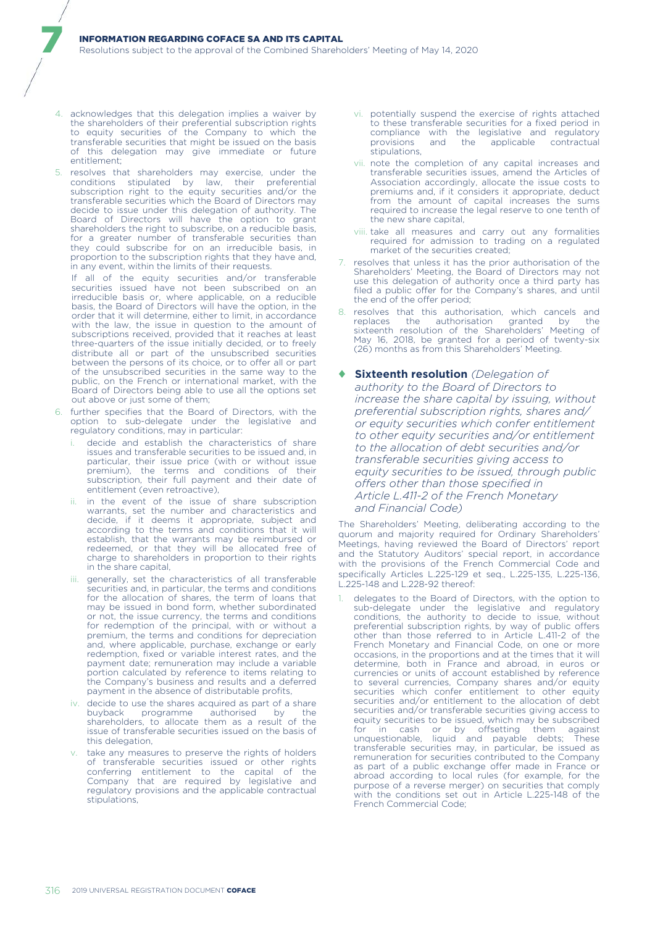4. acknowledges that this delegation implies a waiver by the shareholders of their preferential subscription rights to equity securities of the Company to which the transferable securities that might be issued on the basis of this delegation may give immediate or future entitlement;

7

5. resolves that shareholders may exercise, under the conditions stipulated by law, their preferential subscription right to the equity securities and/or the transferable securities which the Board of Directors may decide to issue under this delegation of authority. The Board of Directors will have the option to grant shareholders the right to subscribe, on a reducible basis. for a greater number of transferable securities than they could subscribe for on an irreducible basis, in proportion to the subscription rights that they have and, in any event, within the limits of their requests.

If all of the equity securities and/or transferable securities issued have not been subscribed on an irreducible basis or, where applicable, on a reducible basis, the Board of Directors will have the option, in the order that it will determine, either to limit, in accordance with the law, the issue in question to the amount of subscriptions received, provided that it reaches at least three-quarters of the issue initially decided, or to freely distribute all or part of the unsubscribed securities between the persons of its choice, or to offer all or part of the unsubscribed securities in the same way to the public, on the French or international market, with the Board of Directors being able to use all the options set out above or just some of them;

- 6. further specifies that the Board of Directors, with the option to sub-delegate under the legislative and regulatory conditions, may in particular:
	- decide and establish the characteristics of share issues and transferable securities to be issued and, in particular, their issue price (with or without issue premium), the terms and conditions of their subscription, their full payment and their date of entitlement (even retroactive),
	- in the event of the issue of share subscription warrants, set the number and characteristics and decide, if it deems it appropriate, subject and according to the terms and conditions that it will establish, that the warrants may be reimbursed or redeemed, or that they will be allocated free of charge to shareholders in proportion to their rights in the share capital,
	- generally, set the characteristics of all transferable securities and, in particular, the terms and conditions for the allocation of shares, the term of loans that may be issued in bond form, whether subordinated or not, the issue currency, the terms and conditions for redemption of the principal, with or without a premium, the terms and conditions for depreciation and, where applicable, purchase, exchange or early redemption, fixed or variable interest rates, and the payment date; remuneration may include a variable portion calculated by reference to items relating to the Company's business and results and a deferred payment in the absence of distributable profits,
	- iv. decide to use the shares acquired as part of a share<br>buyback programme authorised by the programme authorised by shareholders, to allocate them as a result of the issue of transferable securities issued on the basis of this delegation,
	- take any measures to preserve the rights of holders of transferable securities issued or other rights conferring entitlement to the capital of the Company that are required by legislative and regulatory provisions and the applicable contractual stipulations,
- vi. potentially suspend the exercise of rights attached to these transferable securities for a fixed period in compliance with the legislative and regulatory<br>provisions and the applicable contractual provisions and the applicable contractual stipulations,
- vii. note the completion of any capital increases and transferable securities issues, amend the Articles of Association accordingly, allocate the issue costs to premiums and, if it considers it appropriate, deduct from the amount of capital increases the sums required to increase the legal reserve to one tenth of the new share capital,
- viii. take all measures and carry out any formalities required for admission to trading on a regulated market of the securities created;
- 7. resolves that unless it has the prior authorisation of the Shareholders' Meeting, the Board of Directors may not use this delegation of authority once a third party has filed a public offer for the Company's shares, and until the end of the offer period;
- 8. resolves that this authorisation, which cancels and replaces the authorisation granted by the sixteenth resolution of the Shareholders' Meeting of May 16, 2018, be granted for a period of twenty-six (26) months as from this Shareholders' Meeting.

### ♦ **Sixteenth resolution** *(Delegation of authority to the Board of Directors to increase the share capital by issuing, without preferential subscription rights, shares and/ or equity securities which confer entitlement to other equity securities and/or entitlement to the allocation of debt securities and/or transferable securities giving access to equity securities to be issued, through public offers other than those specified in Article L.411-2 of the French Monetary and Financial Code)*

The Shareholders' Meeting, deliberating according to the quorum and majority required for Ordinary Shareholders' Meetings, having reviewed the Board of Directors' report and the Statutory Auditors' special report, in accordance with the provisions of the French Commercial Code and specifically Articles L.225-129 et seq., L.225-135, L.225-136, L.225-148 and L.228-92 thereof:

delegates to the Board of Directors, with the option to sub-delegate under the legislative and regulatory conditions, the authority to decide to issue, without preferential subscription rights, by way of public offers other than those referred to in Article L.411-2 of the French Monetary and Financial Code, on one or more occasions, in the proportions and at the times that it will determine, both in France and abroad, in euros or currencies or units of account established by reference to several currencies, Company shares and/or equity securities which confer entitlement to other equity securities and/or entitlement to the allocation of debt securities and/or transferable securities giving access to equity securities to be issued, which may be subscribed for in cash or by offsetting them against unquestionable, liquid and payable debts; These transferable securities may, in particular, be issued as remuneration for securities contributed to the Company as part of a public exchange offer made in France or abroad according to local rules (for example, for the purpose of a reverse merger) on securities that comply with the conditions set out in Article L.225-148 of the French Commercial Code;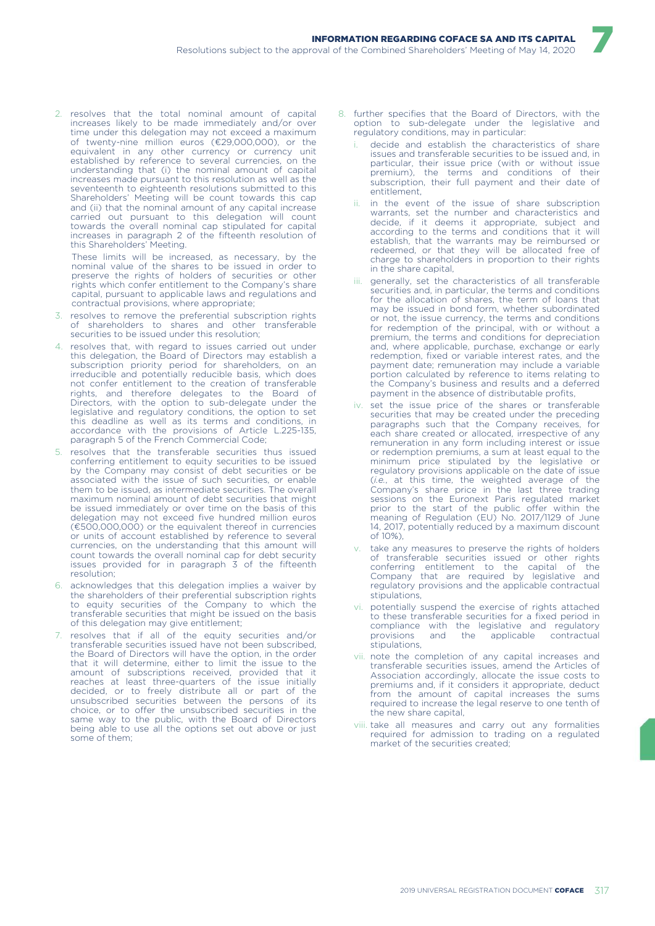2. resolves that the total nominal amount of capital increases likely to be made immediately and/or over time under this delegation may not exceed a maximum of twenty-nine million euros (€29,000,000), or the equivalent in any other currency or currency unit established by reference to several currencies, on the understanding that (i) the nominal amount of capital increases made pursuant to this resolution as well as the seventeenth to eighteenth resolutions submitted to this Shareholders' Meeting will be count towards this cap and (ii) that the nominal amount of any capital increase carried out pursuant to this delegation will count towards the overall nominal cap stipulated for capital increases in paragraph 2 of the fifteenth resolution of this Shareholders' Meeting.

These limits will be increased, as necessary, by the nominal value of the shares to be issued in order to preserve the rights of holders of securities or other rights which confer entitlement to the Company's share capital, pursuant to applicable laws and regulations and contractual provisions, where appropriate;

- 3. resolves to remove the preferential subscription rights of shareholders to shares and other transferable securities to be issued under this resolution;
- 4. resolves that, with regard to issues carried out under this delegation, the Board of Directors may establish a subscription priority period for shareholders, on an irreducible and potentially reducible basis, which does not confer entitlement to the creation of transferable rights, and therefore delegates to the Board of Directors, with the option to sub-delegate under the legislative and regulatory conditions, the option to set this deadline as well as its terms and conditions, in accordance with the provisions of Article L.225-135, paragraph 5 of the French Commercial Code;
- 5. resolves that the transferable securities thus issued conferring entitlement to equity securities to be issued by the Company may consist of debt securities or be associated with the issue of such securities, or enable them to be issued, as intermediate securities. The overall maximum nominal amount of debt securities that might be issued immediately or over time on the basis of this delegation may not exceed five hundred million euros (€500,000,000) or the equivalent thereof in currencies or units of account established by reference to several currencies, on the understanding that this amount will count towards the overall nominal cap for debt security issues provided for in paragraph 3 of the fifteenth resolution;
- 6. acknowledges that this delegation implies a waiver by the shareholders of their preferential subscription rights to equity securities of the Company to which the transferable securities that might be issued on the basis of this delegation may give entitlement;
- resolves that if all of the equity securities and/or transferable securities issued have not been subscribed, the Board of Directors will have the option, in the order that it will determine, either to limit the issue to the amount of subscriptions received, provided that it reaches at least three-quarters of the issue initially decided, or to freely distribute all or part of the unsubscribed securities between the persons of its choice, or to offer the unsubscribed securities in the same way to the public, with the Board of Directors being able to use all the options set out above or just some of them;

8. further specifies that the Board of Directors, with the option to sub-delegate under the legislative and regulatory conditions, may in particular:

- decide and establish the characteristics of share issues and transferable securities to be issued and, in particular, their issue price (with or without issue premium), the terms and conditions of subscription, their full payment and their date of entitlement,
- ii. in the event of the issue of share subscription warrants, set the number and characteristics and decide, if it deems it appropriate, subject and according to the terms and conditions that it will establish, that the warrants may be reimbursed or redeemed, or that they will be allocated free of charge to shareholders in proportion to their rights in the share capital,
- iii. generally, set the characteristics of all transferable securities and, in particular, the terms and conditions for the allocation of shares, the term of loans that may be issued in bond form, whether subordinated or not, the issue currency, the terms and conditions for redemption of the principal, with or without a premium, the terms and conditions for depreciation and, where applicable, purchase, exchange or early redemption, fixed or variable interest rates, and the payment date; remuneration may include a variable portion calculated by reference to items relating to the Company's business and results and a deferred payment in the absence of distributable profits,
- iv. set the issue price of the shares or transferable securities that may be created under the preceding paragraphs such that the Company receives, for each share created or allocated, irrespective of any remuneration in any form including interest or issue or redemption premiums, a sum at least equal to the minimum price stipulated by the legislative or regulatory provisions applicable on the date of issue (*i.e.*, at this time, the weighted average of the Company's share price in the last three trading sessions on the Euronext Paris regulated market prior to the start of the public offer within the meaning of Regulation (EU) No. 2017/1129 of June 14, 2017, potentially reduced by a maximum discount of 10%),
- v. take any measures to preserve the rights of holders of transferable securities issued or other rights conferring entitlement to the capital of the Company that are required by legislative and regulatory provisions and the applicable contractual stipulations,
- vi. potentially suspend the exercise of rights attached to these transferable securities for a fixed period in compliance with the legislative and regulatory<br>provisions and the applicable contractual  $\epsilon$  applicable stipulations,
- vii. note the completion of any capital increases and transferable securities issues, amend the Articles of Association accordingly, allocate the issue costs to premiums and, if it considers it appropriate, deduct from the amount of capital increases the sums required to increase the legal reserve to one tenth of the new share capital,
- viii. take all measures and carry out any formalities required for admission to trading on a regulated market of the securities created;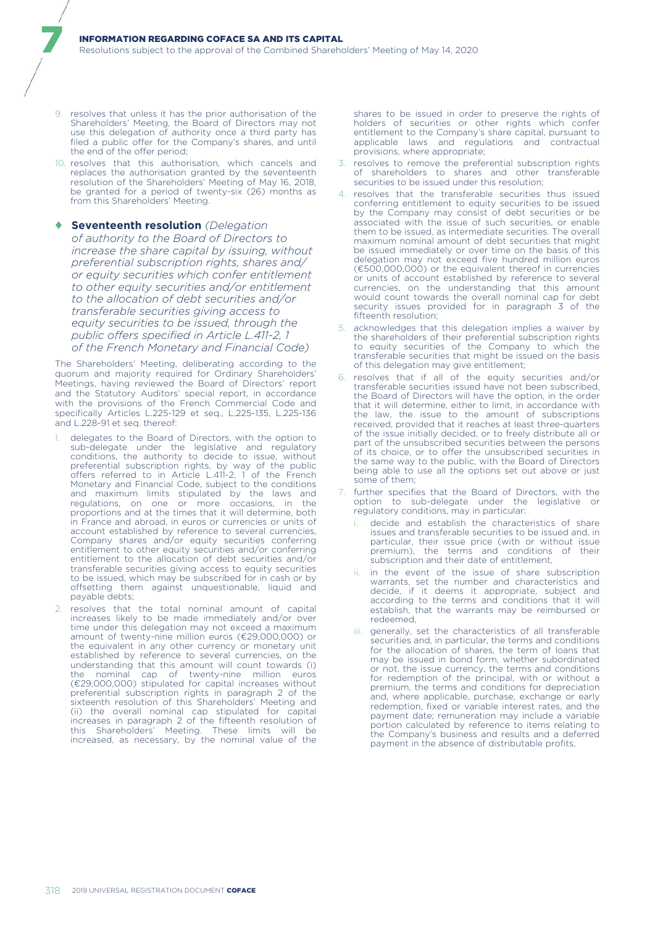9. resolves that unless it has the prior authorisation of the Shareholders' Meeting, the Board of Directors may not use this delegation of authority once a third party has filed a public offer for the Company's shares, and until the end of the offer period;

7

- 10. resolves that this authorisation, which cancels and replaces the authorisation granted by the seventeenth resolution of the Shareholders' Meeting of May 16, 2018, be granted for a period of twenty-six (26) months as from this Shareholders' Meeting.
- ♦ **Seventeenth resolution** *(Delegation of authority to the Board of Directors to increase the share capital by issuing, without preferential subscription rights, shares and/ or equity securities which confer entitlement to other equity securities and/or entitlement to the allocation of debt securities and/or transferable securities giving access to equity securities to be issued, through the public offers specified in Article L.411-2, 1 of the French Monetary and Financial Code)*

The Shareholders' Meeting, deliberating according to the quorum and majority required for Ordinary Shareholders' Meetings, having reviewed the Board of Directors' report and the Statutory Auditors' special report, in accordance with the provisions of the French Commercial Code and specifically Articles L.225-129 et seq., L.225-135, L.225-136 and L.228-91 et seq. thereof:

- delegates to the Board of Directors, with the option to sub-delegate under the legislative and regulatory conditions, the authority to decide to issue, without preferential subscription rights, by way of the public offers referred to in Article L.411-2, 1 of the French Monetary and Financial Code, subject to the conditions and maximum limits stipulated by the laws and regulations, on one or more occasions, in the proportions and at the times that it will determine, both in France and abroad, in euros or currencies or units of account established by reference to several currencies, Company shares and/or equity securities conferring entitlement to other equity securities and/or conferring entitlement to the allocation of debt securities and/or transferable securities giving access to equity securities to be issued, which may be subscribed for in cash or by offsetting them against unquestionable, liquid and payable debts;
- 2. resolves that the total nominal amount of capital increases likely to be made immediately and/or over time under this delegation may not exceed a maximum amount of twenty-nine million euros (€29,000,000) or the equivalent in any other currency or monetary unit established by reference to several currencies, on the understanding that this amount will count towards (i) the nominal cap of twenty-nine million euros (€29,000,000) stipulated for capital increases without preferential subscription rights in paragraph 2 of the sixteenth resolution of this Shareholders' Meeting and (ii) the overall nominal cap stipulated for capital increases in paragraph 2 of the fifteenth resolution of this Shareholders' Meeting. These limits will be increased, as necessary, by the nominal value of the

shares to be issued in order to preserve the rights of holders of securities or other rights which confer entitlement to the Company's share capital, pursuant to applicable laws and regulations and contractual provisions, where appropriate;

- 3. resolves to remove the preferential subscription rights of shareholders to shares and other transferable securities to be issued under this resolution;
- 4. resolves that the transferable securities thus issued conferring entitlement to equity securities to be issued by the Company may consist of debt securities or be associated with the issue of such securities, or enable them to be issued, as intermediate securities. The overall maximum nominal amount of debt securities that might be issued immediately or over time on the basis of this delegation may not exceed five hundred million euros (€500,000,000) or the equivalent thereof in currencies or units of account established by reference to several currencies, on the understanding that this amount would count towards the overall nominal cap for debt security issues provided for in paragraph 3 of the fifteenth resolution;
- 5. acknowledges that this delegation implies a waiver by the shareholders of their preferential subscription rights to equity securities of the Company to which the transferable securities that might be issued on the basis of this delegation may give entitlement;
- 6. resolves that if all of the equity securities and/or transferable securities issued have not been subscribed, the Board of Directors will have the option, in the order that it will determine, either to limit, in accordance with the law, the issue to the amount of subscriptions received, provided that it reaches at least three-quarters of the issue initially decided, or to freely distribute all or part of the unsubscribed securities between the persons of its choice, or to offer the unsubscribed securities in the same way to the public, with the Board of Directors being able to use all the options set out above or just some of them;
- further specifies that the Board of Directors, with the option to sub-delegate under the legislative or regulatory conditions, may in particular:
	- decide and establish the characteristics of share issues and transferable securities to be issued and, in particular, their issue price (with or without issue premium), the terms and conditions of their subscription and their date of entitlement,
	- ii. in the event of the issue of share subscription warrants, set the number and characteristics and decide, if it deems it appropriate, subject and according to the terms and conditions that it will establish, that the warrants may be reimbursed or redeemed,
	- iii. generally, set the characteristics of all transferable securities and, in particular, the terms and conditions for the allocation of shares, the term of loans that may be issued in bond form, whether subordinated or not, the issue currency, the terms and conditions for redemption of the principal, with or without a premium, the terms and conditions for depreciation and, where applicable, purchase, exchange or early redemption, fixed or variable interest rates, and the payment date; remuneration may include a variable portion calculated by reference to items relating to the Company's business and results and a deferred payment in the absence of distributable profits,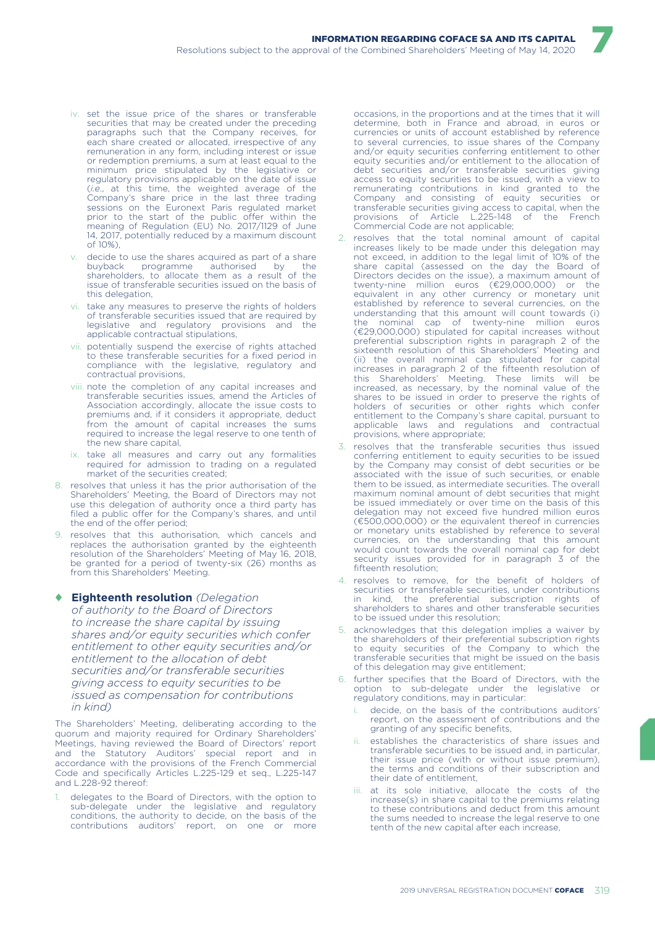- iv. set the issue price of the shares or transferable securities that may be created under the preceding paragraphs such that the Company receives, for each share created or allocated, irrespective of any remuneration in any form, including interest or issue or redemption premiums, a sum at least equal to the minimum price stipulated by the legislative or regulatory provisions applicable on the date of issue (*i.e*., at this time, the weighted average of the Company's share price in the last three trading sessions on the Euronext Paris regulated market prior to the start of the public offer within the meaning of Regulation (EU) No. 2017/1129 of June 14, 2017, potentially reduced by a maximum discount of 10%),
- decide to use the shares acquired as part of a share buyback programme authorised by the shareholders, to allocate them as a result of the issue of transferable securities issued on the basis of this delegation,
- vi. take any measures to preserve the rights of holders of transferable securities issued that are required by legislative and regulatory provisions and the applicable contractual stipulations,
- vii. potentially suspend the exercise of rights attached to these transferable securities for a fixed period in compliance with the legislative, regulatory and contractual provisions,
- viii. note the completion of any capital increases and transferable securities issues, amend the Articles of Association accordingly, allocate the issue costs to premiums and, if it considers it appropriate, deduct from the amount of capital increases the sums required to increase the legal reserve to one tenth of the new share capital,
- ix. take all measures and carry out any formalities required for admission to trading on a regulated market of the securities created;
- 8. resolves that unless it has the prior authorisation of the Shareholders' Meeting, the Board of Directors may not use this delegation of authority once a third party has filed a public offer for the Company's shares, and until the end of the offer period;
- 9. resolves that this authorisation, which cancels and replaces the authorisation granted by the eighteenth resolution of the Shareholders' Meeting of May 16, 2018, be granted for a period of twenty-six (26) months as from this Shareholders' Meeting.

#### ♦ **Eighteenth resolution** *(Delegation*

*of authority to the Board of Directors to increase the share capital by issuing shares and/or equity securities which confer entitlement to other equity securities and/or entitlement to the allocation of debt securities and/or transferable securities giving access to equity securities to be issued as compensation for contributions in kind)*

The Shareholders' Meeting, deliberating according to the quorum and majority required for Ordinary Shareholders' Meetings, having reviewed the Board of Directors' report and the Statutory Auditors' special report and in accordance with the provisions of the French Commercial Code and specifically Articles L.225-129 et seq., L.225-147 and L.228-92 thereof:

delegates to the Board of Directors, with the option to sub-delegate under the legislative and regulatory conditions, the authority to decide, on the basis of the contributions auditors' report, on one or more

occasions, in the proportions and at the times that it will determine, both in France and abroad, in euros or currencies or units of account established by reference to several currencies, to issue shares of the Company and/or equity securities conferring entitlement to other equity securities and/or entitlement to the allocation of debt securities and/or transferable securities giving access to equity securities to be issued, with a view to remunerating contributions in kind granted to the Company and consisting of equity securities or transferable securities giving access to capital, when the Article L.225-148 of the French Commercial Code are not applicable;

- 2. resolves that the total nominal amount of capital increases likely to be made under this delegation may not exceed, in addition to the legal limit of 10% of the share capital (assessed on the day the Board of Directors decides on the issue), a maximum amount of twenty-nine million euros (€29,000,000) or the equivalent in any other currency or monetary unit established by reference to several currencies, on the understanding that this amount will count towards (i) the nominal cap of twenty-nine million euros (€29,000,000) stipulated for capital increases without preferential subscription rights in paragraph 2 of the sixteenth resolution of this Shareholders' Meeting and (ii) the overall nominal cap stipulated for capital increases in paragraph 2 of the fifteenth resolution of this Shareholders' Meeting. These limits will be increased, as necessary, by the nominal value of the shares to be issued in order to preserve the rights of holders of securities or other rights which confer entitlement to the Company's share capital, pursuant to applicable laws and regulations and contractual provisions, where appropriate;
- 3. resolves that the transferable securities thus issued conferring entitlement to equity securities to be issued by the Company may consist of debt securities or be associated with the issue of such securities, or enable them to be issued, as intermediate securities. The overall maximum nominal amount of debt securities that might be issued immediately or over time on the basis of this delegation may not exceed five hundred million euros (€500,000,000) or the equivalent thereof in currencies or monetary units established by reference to several currencies, on the understanding that this amount would count towards the overall nominal cap for debt security issues provided for in paragraph 3 of the fifteenth resolution;
- resolves to remove, for the benefit of holders of securities or transferable securities, under contributions<br>in kind, the preferential subscription rights of in kind, the preferential shareholders to shares and other transferable securities to be issued under this resolution;
- acknowledges that this delegation implies a waiver by the shareholders of their preferential subscription rights to equity securities of the Company to which the transferable securities that might be issued on the basis of this delegation may give entitlement;
- 6. further specifies that the Board of Directors, with the option to sub-delegate under the legislative or regulatory conditions, may in particular:
	- decide, on the basis of the contributions auditors' report, on the assessment of contributions and the granting of any specific benefits,
	- establishes the characteristics of share issues and transferable securities to be issued and, in particular, their issue price (with or without issue premium), the terms and conditions of their subscription and their date of entitlement,
	- iii. at its sole initiative, allocate the costs of the increase(s) in share capital to the premiums relating to these contributions and deduct from this amount the sums needed to increase the legal reserve to one tenth of the new capital after each increase,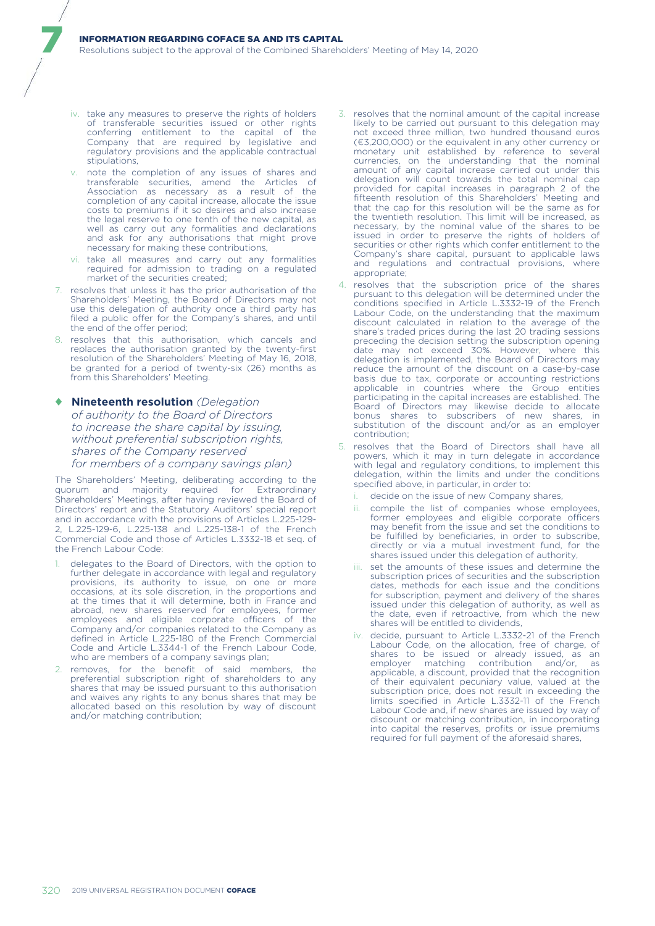iv. take any measures to preserve the rights of holders of transferable securities issued or other rights conferring entitlement to the capital of the Company that are required by legislative and regulatory provisions and the applicable contractual stipulations,

7

- note the completion of any issues of shares and transferable securities, amend the Articles of Association as necessary as a result of the completion of any capital increase, allocate the issue costs to premiums if it so desires and also increase the legal reserve to one tenth of the new capital, as well as carry out any formalities and declarations and ask for any authorisations that might prove necessary for making these contributions,
- vi. take all measures and carry out any formalities required for admission to trading on a regulated market of the securities created;
- 7. resolves that unless it has the prior authorisation of the Shareholders' Meeting, the Board of Directors may not use this delegation of authority once a third party has filed a public offer for the Company's shares, and until the end of the offer period;
- 8. resolves that this authorisation, which cancels and replaces the authorisation granted by the twenty-first resolution of the Shareholders' Meeting of May 16, 2018, be granted for a period of twenty-six (26) months as from this Shareholders' Meeting.
- ♦ **Nineteenth resolution** *(Delegation of authority to the Board of Directors to increase the share capital by issuing, without preferential subscription rights, shares of the Company reserved for members of a company savings plan)*

The Shareholders' Meeting, deliberating according to the quorum and majority required for Extraordinary Shareholders' Meetings, after having reviewed the Board of Directors' report and the Statutory Auditors' special report and in accordance with the provisions of Articles L.225-129- 2, L.225-129-6, L.225-138 and L.225-138-1 of the French Commercial Code and those of Articles L.3332-18 et seq. of the French Labour Code:

- delegates to the Board of Directors, with the option to further delegate in accordance with legal and regulatory provisions, its authority to issue, on one or more occasions, at its sole discretion, in the proportions and at the times that it will determine, both in France and abroad, new shares reserved for employees, former employees and eligible corporate officers of the Company and/or companies related to the Company as defined in Article L.225-180 of the French Commercial Code and Article L.3344-1 of the French Labour Code, who are members of a company savings plan;
- 2. removes, for the benefit of said members, the preferential subscription right of shareholders to any shares that may be issued pursuant to this authorisation and waives any rights to any bonus shares that may be allocated based on this resolution by way of discount and/or matching contribution;
- 3. resolves that the nominal amount of the capital increase likely to be carried out pursuant to this delegation may not exceed three million, two hundred thousand euros (€3,200,000) or the equivalent in any other currency or monetary unit established by reference to several currencies, on the understanding that the nominal amount of any capital increase carried out under this delegation will count towards the total nominal cap provided for capital increases in paragraph 2 of the fifteenth resolution of this Shareholders' Meeting and that the cap for this resolution will be the same as for the twentieth resolution. This limit will be increased, as necessary, by the nominal value of the shares to be issued in order to preserve the rights of holders of securities or other rights which confer entitlement to the Company's share capital, pursuant to applicable laws and regulations and contractual provisions, where appropriate;
- 4. resolves that the subscription price of the shares pursuant to this delegation will be determined under the conditions specified in Article L.3332-19 of the French Labour Code, on the understanding that the maximum discount calculated in relation to the average of the share's traded prices during the last 20 trading sessions preceding the decision setting the subscription opening date may not exceed 30%. However, where this delegation is implemented, the Board of Directors may reduce the amount of the discount on a case-by-case basis due to tax, corporate or accounting restrictions applicable in countries where the Group entities participating in the capital increases are established. The Board of Directors may likewise decide to allocate bonus shares to subscribers of new shares, in substitution of the discount and/or as an employer contribution;
- 5. resolves that the Board of Directors shall have all powers, which it may in turn delegate in accordance with legal and regulatory conditions, to implement this delegation, within the limits and under the conditions specified above, in particular, in order to:
	- i. decide on the issue of new Company shares,
	- ii. compile the list of companies whose employees, former employees and eligible corporate officers may benefit from the issue and set the conditions to be fulfilled by beneficiaries, in order to subscribe, directly or via a mutual investment fund, for the shares issued under this delegation of authority,
	- iii. set the amounts of these issues and determine the subscription prices of securities and the subscription dates, methods for each issue and the conditions for subscription, payment and delivery of the shares issued under this delegation of authority, as well as the date, even if retroactive, from which the new shares will be entitled to dividends,
	- iv. decide, pursuant to Article L.3332-21 of the French Labour Code, on the allocation, free of charge, of shares to be issued or already issued, as an employer matching contribution and/or, as applicable, a discount, provided that the recognition of their equivalent pecuniary value, valued at the subscription price, does not result in exceeding the limits specified in Article L.3332-11 of the French Labour Code and, if new shares are issued by way of discount or matching contribution, in incorporating into capital the reserves, profits or issue premiums required for full payment of the aforesaid shares,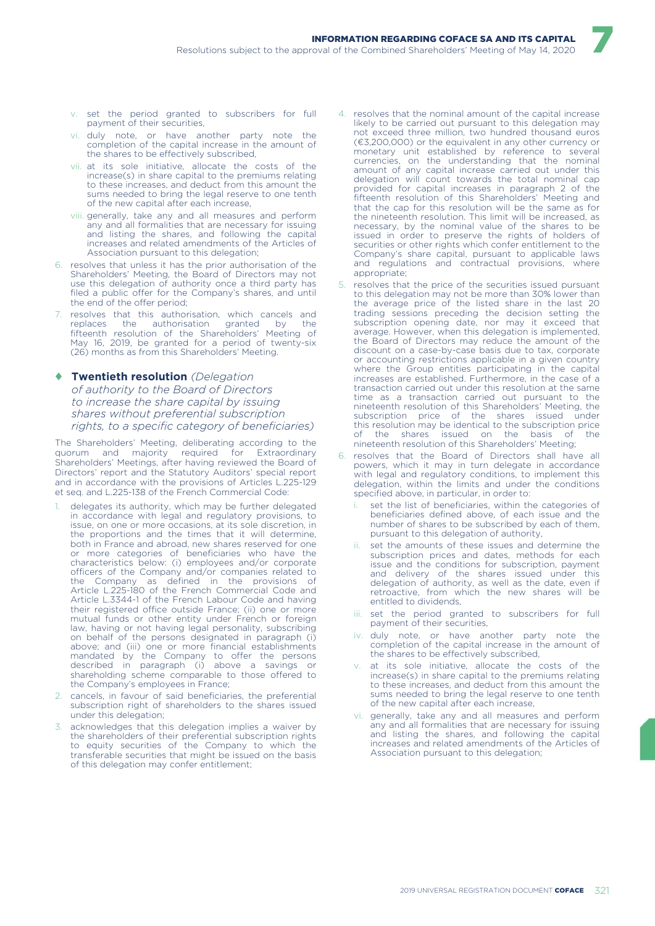- v. set the period granted to subscribers for full payment of their securities,
- vi. duly note, or have another party note the completion of the capital increase in the amount of the shares to be effectively subscribed,
- vii. at its sole initiative, allocate the costs of the increase(s) in share capital to the premiums relating to these increases, and deduct from this amount the sums needed to bring the legal reserve to one tenth of the new capital after each increase,
- viii. generally, take any and all measures and perform any and all formalities that are necessary for issuing and listing the shares, and following the capital increases and related amendments of the Articles of Association pursuant to this delegation;
- 6. resolves that unless it has the prior authorisation of the Shareholders' Meeting, the Board of Directors may not use this delegation of authority once a third party has filed a public offer for the Company's shares, and until the end of the offer period;
- resolves that this authorisation, which cancels and<br>replaces the authorisation granted by the replaces the authorisation granted by the fifteenth resolution of the Shareholders' Meeting of May 16, 2019, be granted for a period of twenty-six (26) months as from this Shareholders' Meeting.
- ♦ **Twentieth resolution** *(Delegation of authority to the Board of Directors to increase the share capital by issuing shares without preferential subscription rights, to a specific category of beneficiaries)*

The Shareholders' Meeting, deliberating according to the quorum and majority required for Extraordinary Shareholders' Meetings, after having reviewed the Board of Directors' report and the Statutory Auditors' special report and in accordance with the provisions of Articles L.225-129 et seq. and L.225-138 of the French Commercial Code:

- delegates its authority, which may be further delegated in accordance with legal and regulatory provisions, to issue, on one or more occasions, at its sole discretion, in the proportions and the times that it will determine, both in France and abroad, new shares reserved for one or more categories of beneficiaries who have the characteristics below: (i) employees and/or corporate officers of the Company and/or companies related to the Company as defined in the provisions of Article L.225-180 of the French Commercial Code and Article L.3344-1 of the French Labour Code and having their registered office outside France; (ii) one or more mutual funds or other entity under French or foreign law, having or not having legal personality, subscribing on behalf of the persons designated in paragraph (i) above; and (iii) one or more financial establishments mandated by the Company to offer the persons described in paragraph (i) above a savings or shareholding scheme comparable to those offered to the Company's employees in France;
- 2. cancels, in favour of said beneficiaries, the preferential subscription right of shareholders to the shares issued under this delegation;
- 3. acknowledges that this delegation implies a waiver by the shareholders of their preferential subscription rights to equity securities of the Company to which the transferable securities that might be issued on the basis of this delegation may confer entitlement;

4. resolves that the nominal amount of the capital increase likely to be carried out pursuant to this delegation may not exceed three million, two hundred thousand euros (€3,200,000) or the equivalent in any other currency or monetary unit established by reference to several currencies, on the understanding that the nominal amount of any capital increase carried out under this delegation will count towards the total nominal cap provided for capital increases in paragraph 2 of the fifteenth resolution of this Shareholders' Meeting and that the cap for this resolution will be the same as for the nineteenth resolution. This limit will be increased, as necessary, by the nominal value of the shares to be issued in order to preserve the rights of holders of securities or other rights which confer entitlement to the Company's share capital, pursuant to applicable laws and regulations and contractual provisions, where appropriate;

- 5. resolves that the price of the securities issued pursuant to this delegation may not be more than 30% lower than the average price of the listed share in the last 20 trading sessions preceding the decision setting the subscription opening date, nor may it exceed that average. However, when this delegation is implemented, the Board of Directors may reduce the amount of the discount on a case-by-case basis due to tax, corporate or accounting restrictions applicable in a given country where the Group entities participating in the capital increases are established. Furthermore, in the case of a transaction carried out under this resolution at the same time as a transaction carried out pursuant to the nineteenth resolution of this Shareholders' Meeting, the subscription price of the shares issued under this resolution may be identical to the subscription price of the shares issued on the basis of the nineteenth resolution of this Shareholders' Meeting;
- resolves that the Board of Directors shall have all powers, which it may in turn delegate in accordance with legal and regulatory conditions, to implement this delegation, within the limits and under the conditions specified above, in particular, in order to:
	- set the list of beneficiaries, within the categories of beneficiaries defined above, of each issue and the number of shares to be subscribed by each of them, pursuant to this delegation of authority,
	- set the amounts of these issues and determine the subscription prices and dates, methods for each issue and the conditions for subscription, payment and delivery of the shares issued under this delegation of authority, as well as the date, even if retroactive, from which the new shares will be entitled to dividends,
	- iii. set the period granted to subscribers for full payment of their securities,
	- iv. duly note, or have another party note the completion of the capital increase in the amount of the shares to be effectively subscribed,
	- at its sole initiative, allocate the costs of the increase(s) in share capital to the premiums relating to these increases, and deduct from this amount the sums needed to bring the legal reserve to one tenth of the new capital after each increase,
	- vi. generally, take any and all measures and perform any and all formalities that are necessary for issuing and listing the shares, and following the capital increases and related amendments of the Articles of Association pursuant to this delegation;